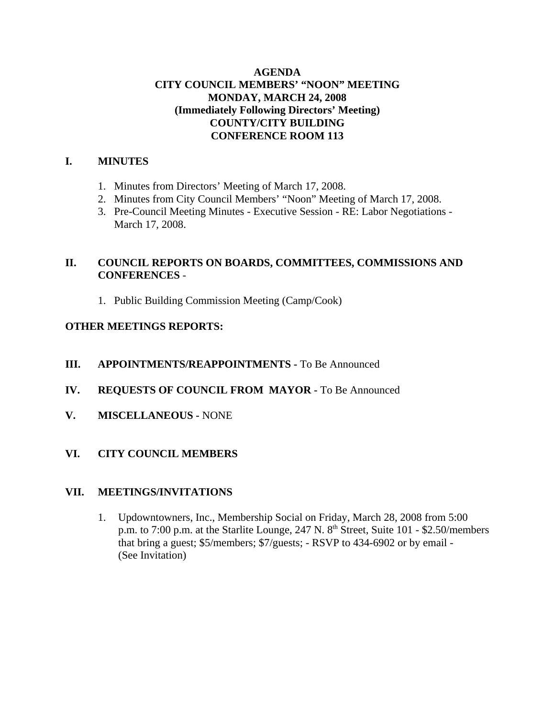## **AGENDA CITY COUNCIL MEMBERS' "NOON" MEETING MONDAY, MARCH 24, 2008 (Immediately Following Directors' Meeting) COUNTY/CITY BUILDING CONFERENCE ROOM 113**

# **I. MINUTES**

- 1. Minutes from Directors' Meeting of March 17, 2008.
- 2. Minutes from City Council Members' "Noon" Meeting of March 17, 2008.
- 3. Pre-Council Meeting Minutes Executive Session RE: Labor Negotiations March 17, 2008.

# **II. COUNCIL REPORTS ON BOARDS, COMMITTEES, COMMISSIONS AND CONFERENCES** -

1. Public Building Commission Meeting (Camp/Cook)

## **OTHER MEETINGS REPORTS:**

- **III.** APPOINTMENTS/REAPPOINTMENTS To Be Announced
- **IV. REQUESTS OF COUNCIL FROM MAYOR -** To Be Announced
- **V. MISCELLANEOUS -** NONE
- **VI. CITY COUNCIL MEMBERS**

#### **VII. MEETINGS/INVITATIONS**

1. Updowntowners, Inc., Membership Social on Friday, March 28, 2008 from 5:00 p.m. to 7:00 p.m. at the Starlite Lounge, 247 N. 8<sup>th</sup> Street, Suite 101 - \$2.50/members that bring a guest; \$5/members; \$7/guests; - RSVP to 434-6902 or by email - (See Invitation)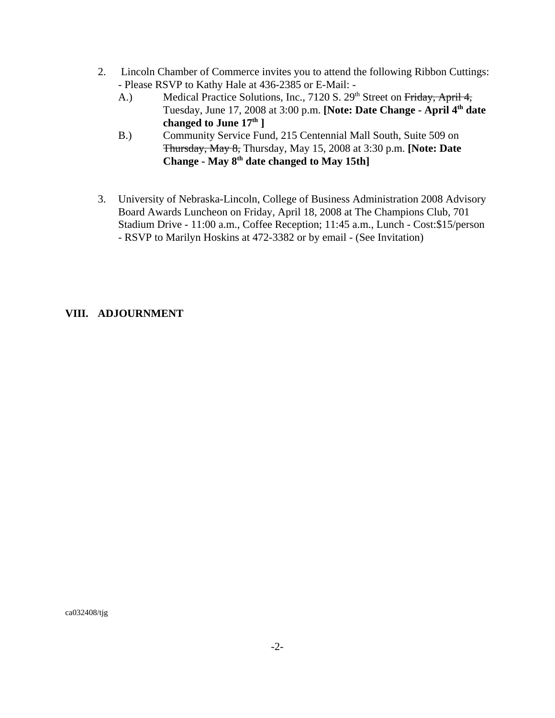- 2. Lincoln Chamber of Commerce invites you to attend the following Ribbon Cuttings: - Please RSVP to Kathy Hale at 436-2385 or E-Mail: -
	- A.) Medical Practice Solutions, Inc., 7120 S. 29<sup>th</sup> Street on Friday, April 4, Tuesday, June 17, 2008 at 3:00 p.m. **[Note: Date Change - April 4th date changed to June 17th ]**
	- B.) Community Service Fund, 215 Centennial Mall South, Suite 509 on Thursday, May 8, Thursday, May 15, 2008 at 3:30 p.m. **[Note: Date Change - May 8th date changed to May 15th]**
- 3. University of Nebraska-Lincoln, College of Business Administration 2008 Advisory Board Awards Luncheon on Friday, April 18, 2008 at The Champions Club, 701 Stadium Drive - 11:00 a.m., Coffee Reception; 11:45 a.m., Lunch - Cost:\$15/person - RSVP to Marilyn Hoskins at 472-3382 or by email - (See Invitation)

## **VIII. ADJOURNMENT**

ca032408/tjg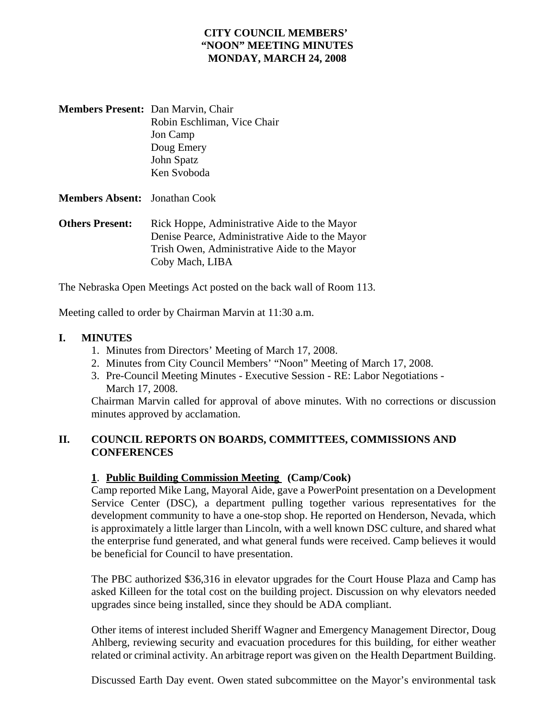# **CITY COUNCIL MEMBERS' "NOON" MEETING MINUTES MONDAY, MARCH 24, 2008**

| <b>Members Present:</b> Dan Marvin, Chair |                             |
|-------------------------------------------|-----------------------------|
|                                           | Robin Eschliman, Vice Chair |
|                                           | Jon Camp                    |
|                                           | Doug Emery                  |
|                                           | John Spatz                  |
|                                           | Ken Svoboda                 |
|                                           |                             |

**Members Absent:** Jonathan Cook

**Others Present:** Rick Hoppe, Administrative Aide to the Mayor Denise Pearce, Administrative Aide to the Mayor Trish Owen, Administrative Aide to the Mayor Coby Mach, LIBA

The Nebraska Open Meetings Act posted on the back wall of Room 113.

Meeting called to order by Chairman Marvin at 11:30 a.m.

### **I. MINUTES**

- 1. Minutes from Directors' Meeting of March 17, 2008.
- 2. Minutes from City Council Members' "Noon" Meeting of March 17, 2008.
- 3. Pre-Council Meeting Minutes Executive Session RE: Labor Negotiations March 17, 2008.

Chairman Marvin called for approval of above minutes. With no corrections or discussion minutes approved by acclamation.

## **II. COUNCIL REPORTS ON BOARDS, COMMITTEES, COMMISSIONS AND CONFERENCES**

#### **1**. **Public Building Commission Meeting (Camp/Cook)**

Camp reported Mike Lang, Mayoral Aide, gave a PowerPoint presentation on a Development Service Center (DSC), a department pulling together various representatives for the development community to have a one-stop shop. He reported on Henderson, Nevada, which is approximately a little larger than Lincoln, with a well known DSC culture, and shared what the enterprise fund generated, and what general funds were received. Camp believes it would be beneficial for Council to have presentation.

The PBC authorized \$36,316 in elevator upgrades for the Court House Plaza and Camp has asked Killeen for the total cost on the building project. Discussion on why elevators needed upgrades since being installed, since they should be ADA compliant.

Other items of interest included Sheriff Wagner and Emergency Management Director, Doug Ahlberg, reviewing security and evacuation procedures for this building, for either weather related or criminal activity. An arbitrage report was given on the Health Department Building.

Discussed Earth Day event. Owen stated subcommittee on the Mayor's environmental task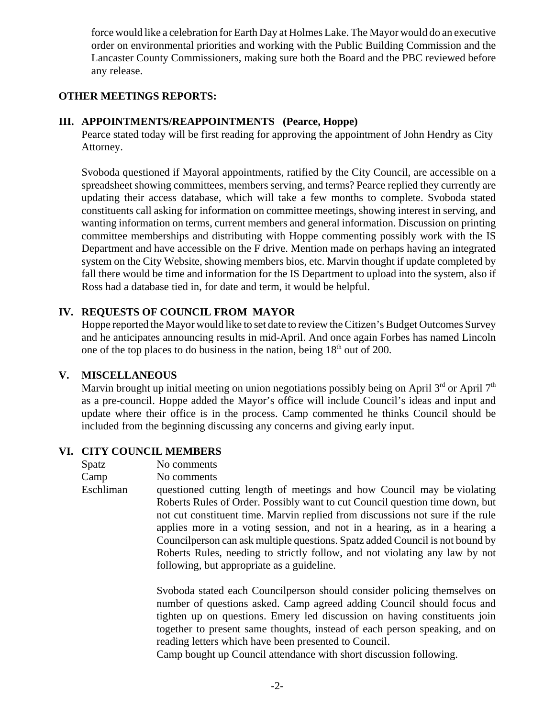force would like a celebration for Earth Day at Holmes Lake. The Mayor would do an executive order on environmental priorities and working with the Public Building Commission and the Lancaster County Commissioners, making sure both the Board and the PBC reviewed before any release.

### **OTHER MEETINGS REPORTS:**

### **III. APPOINTMENTS/REAPPOINTMENTS (Pearce, Hoppe)**

Pearce stated today will be first reading for approving the appointment of John Hendry as City Attorney.

Svoboda questioned if Mayoral appointments, ratified by the City Council, are accessible on a spreadsheet showing committees, members serving, and terms? Pearce replied they currently are updating their access database, which will take a few months to complete. Svoboda stated constituents call asking for information on committee meetings, showing interest in serving, and wanting information on terms, current members and general information. Discussion on printing committee memberships and distributing with Hoppe commenting possibly work with the IS Department and have accessible on the F drive. Mention made on perhaps having an integrated system on the City Website, showing members bios, etc. Marvin thought if update completed by fall there would be time and information for the IS Department to upload into the system, also if Ross had a database tied in, for date and term, it would be helpful.

### **IV. REQUESTS OF COUNCIL FROM MAYOR**

Hoppe reported the Mayor would like to set date to review the Citizen's Budget Outcomes Survey and he anticipates announcing results in mid-April. And once again Forbes has named Lincoln one of the top places to do business in the nation, being  $18<sup>th</sup>$  out of 200.

#### **V. MISCELLANEOUS**

Marvin brought up initial meeting on union negotiations possibly being on April  $3<sup>rd</sup>$  or April  $7<sup>th</sup>$ as a pre-council. Hoppe added the Mayor's office will include Council's ideas and input and update where their office is in the process. Camp commented he thinks Council should be included from the beginning discussing any concerns and giving early input.

#### **VI. CITY COUNCIL MEMBERS**

Spatz No comments Camp No comments Eschliman questioned cutting length of meetings and how Council may be violating Roberts Rules of Order. Possibly want to cut Council question time down, but not cut constituent time. Marvin replied from discussions not sure if the rule applies more in a voting session, and not in a hearing, as in a hearing a Councilperson can ask multiple questions. Spatz added Council is not bound by Roberts Rules, needing to strictly follow, and not violating any law by not following, but appropriate as a guideline.

> Svoboda stated each Councilperson should consider policing themselves on number of questions asked. Camp agreed adding Council should focus and tighten up on questions. Emery led discussion on having constituents join together to present same thoughts, instead of each person speaking, and on reading letters which have been presented to Council.

Camp bought up Council attendance with short discussion following.